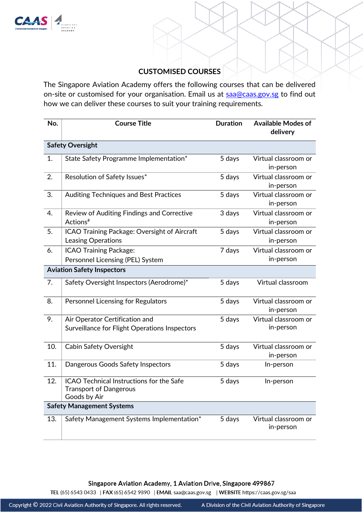

# **CUSTOMISED COURSES**

The Singapore Aviation Academy offers the following courses that can be delivered on-site or customised for your organisation. Email us at saa@caas.gov.sg to find out how we can deliver these courses to suit your training requirements.

| No.                               | <b>Course Title</b>                                                                       | <b>Duration</b> | <b>Available Modes of</b><br>delivery |  |
|-----------------------------------|-------------------------------------------------------------------------------------------|-----------------|---------------------------------------|--|
| <b>Safety Oversight</b>           |                                                                                           |                 |                                       |  |
| 1.                                | State Safety Programme Implementation*                                                    | 5 days          | Virtual classroom or<br>in-person     |  |
| 2.                                | Resolution of Safety Issues*                                                              | 5 days          | Virtual classroom or<br>in-person     |  |
| 3.                                | Auditing Techniques and Best Practices                                                    | 5 days          | Virtual classroom or<br>in-person     |  |
| 4.                                | Review of Auditing Findings and Corrective<br>Actions <sup>#</sup>                        | 3 days          | Virtual classroom or<br>in-person     |  |
| 5.                                | ICAO Training Package: Oversight of Aircraft<br>Leasing Operations                        | 5 days          | Virtual classroom or<br>in-person     |  |
| 6.                                | <b>ICAO Training Package:</b>                                                             | 7 days          | Virtual classroom or                  |  |
|                                   | Personnel Licensing (PEL) System                                                          |                 | in-person                             |  |
| <b>Aviation Safety Inspectors</b> |                                                                                           |                 |                                       |  |
| 7.                                | Safety Oversight Inspectors (Aerodrome)*                                                  | 5 days          | Virtual classroom                     |  |
| 8.                                | Personnel Licensing for Regulators                                                        | 5 days          | Virtual classroom or<br>in-person     |  |
| 9.                                | Air Operator Certification and<br>Surveillance for Flight Operations Inspectors           | 5 days          | Virtual classroom or<br>in-person     |  |
| 10.                               | Cabin Safety Oversight                                                                    | 5 days          | Virtual classroom or<br>in-person     |  |
| 11.                               | Dangerous Goods Safety Inspectors                                                         | 5 days          | In-person                             |  |
| 12.                               | ICAO Technical Instructions for the Safe<br><b>Transport of Dangerous</b><br>Goods by Air | 5 days          | In-person                             |  |
| <b>Safety Management Systems</b>  |                                                                                           |                 |                                       |  |
| 13.                               | Safety Management Systems Implementation*                                                 | 5 days          | Virtual classroom or<br>in-person     |  |

Singapore Aviation Academy, 1 Aviation Drive, Singapore 499867<br>TEL (65) 6543 0433 | FAX (65) 6542 9890 | EMAIL saa@caas.gov.sg | WEBSITE https://caas.gov.sg/saa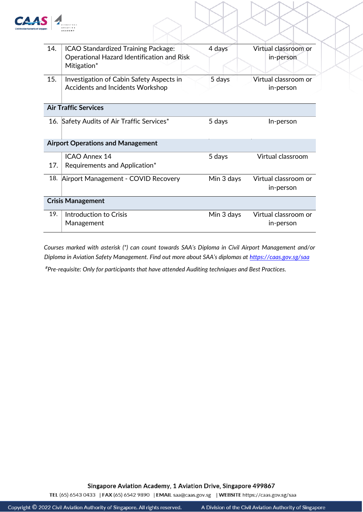

| 14.                                      | ICAO Standardized Training Package:<br>Operational Hazard Identification and Risk<br>Mitigation* | 4 days     | Virtual classroom or<br>in-person |  |  |
|------------------------------------------|--------------------------------------------------------------------------------------------------|------------|-----------------------------------|--|--|
| 15.                                      | Investigation of Cabin Safety Aspects in<br>Accidents and Incidents Workshop                     | 5 days     | Virtual classroom or<br>in-person |  |  |
| <b>Air Traffic Services</b>              |                                                                                                  |            |                                   |  |  |
|                                          | 16. Safety Audits of Air Traffic Services*                                                       | 5 days     | In-person                         |  |  |
| <b>Airport Operations and Management</b> |                                                                                                  |            |                                   |  |  |
| 17.                                      | <b>ICAO Annex 14</b><br>Requirements and Application*                                            | 5 days     | Virtual classroom                 |  |  |
| 18.                                      | Airport Management - COVID Recovery                                                              | Min 3 days | Virtual classroom or<br>in-person |  |  |
| <b>Crisis Management</b>                 |                                                                                                  |            |                                   |  |  |
| 19.                                      | Introduction to Crisis<br>Management                                                             | Min 3 days | Virtual classroom or<br>in-person |  |  |

*Courses marked with asterisk (\*) can count towards SAA's Diploma in Civil Airport Management and/or Diploma in Aviation Safety Management. Find out more about SAA's diplomas at <https://caas.gov.sg/saa>*

*#Pre-requisite: Only for participants that have attended Auditing techniques and Best Practices.* 

Singapore Aviation Academy, 1 Aviation Drive, Singapore 499867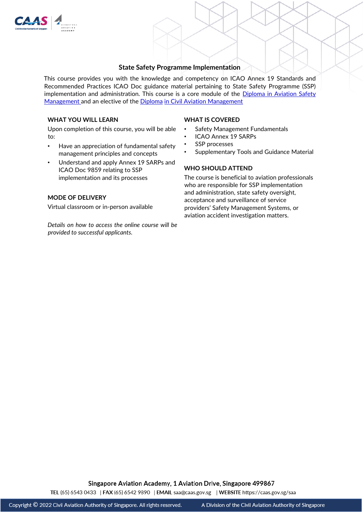

## **State Safety Programme Implementation**

This course provides you with the knowledge and competency on ICAO Annex 19 Standards and Recommended Practices ICAO Doc guidance material pertaining to State Safety Programme (SSP) implementation and administration. This course is a core module of the Diploma in Aviation Safety [Management](http://go.gov.sg/dipasm) and an elective of the [Diploma](http://go.gov.sg/dipcam) [in Civil Aviation Management](http://go.gov.sg/dipcam)

## **WHAT YOU WILL LEARN**

Upon completion of this course, you will be able to:

- Have an appreciation of fundamental safety management principles and concepts
- Understand and apply Annex 19 SARPs and ICAO Doc 9859 relating to SSP implementation and its processes

## **MODE OF DELIVERY**

Virtual classroom or in-person available

*Details on how to access the online course will be provided to successful applicants.* 

#### **WHAT IS COVERED**

- Safety Management Fundamentals
- ICAO Annex 19 SARPs
- SSP processes
- Supplementary Tools and Guidance Material

### **WHO SHOULD ATTEND**

The course is beneficial to aviation professionals who are responsible for SSP implementation and administration, state safety oversight, acceptance and surveillance of service providers' Safety Management Systems, or aviation accident investigation matters.

**Singapore Aviation Academy, 1 Aviation Drive, Singapore 499867**<br>TEL (65) 6543 0433 | FAX (65) 6542 9890 | EMAIL saa@caas.gov.sg | WEBSITE https://caas.gov.sg/saa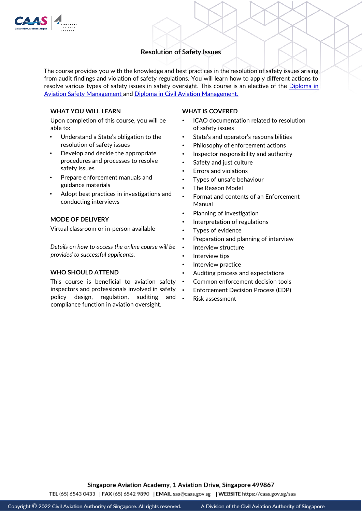

# **Resolution of Safety Issues**

The course provides you with the knowledge and best practices in the resolution of safety issues arising from audit findings and violation of safety regulations. You will learn how to apply different actions to resolve various types of safety issues in safety oversight. This course is an elective of the *Diploma in* [Aviation Safety Management](http://go.gov.sg/dipasm) [a](http://go.gov.sg/dipasm)nd [Diploma in Civil Aviation Management.](http://go.gov.sg/dipcam) 

# **WHAT YOU WILL LEARN**

Upon completion of this course, you will be able to:

- Understand a State's obligation to the resolution of safety issues
- Develop and decide the appropriate procedures and processes to resolve safety issues
- Prepare enforcement manuals and guidance materials
- Adopt best practices in investigations and conducting interviews

## **MODE OF DELIVERY**

Virtual classroom or in-person available

*Details on how to access the online course will be provided to successful applicants.* 

#### **WHO SHOULD ATTEND**

This course is beneficial to aviation safety inspectors and professionals involved in safety policy design, regulation, auditing and compliance function in aviation oversight.

#### **WHAT IS COVERED**

- ICAO documentation related to resolution of safety issues
- State's and operator's responsibilities
- Philosophy of enforcement actions
- Inspector responsibility and authority
- Safety and just culture
- Errors and violations
- Types of unsafe behaviour
- The Reason Model
- Format and contents of an Enforcement Manual
- Planning of investigation
- Interpretation of regulations
- Types of evidence
- Preparation and planning of interview
- Interview structure
- Interview tips
- Interview practice
- Auditing process and expectations
- Common enforcement decision tools
- Enforcement Decision Process (EDP)
- Risk assessment

Singapore Aviation Academy, 1 Aviation Drive, Singapore 499867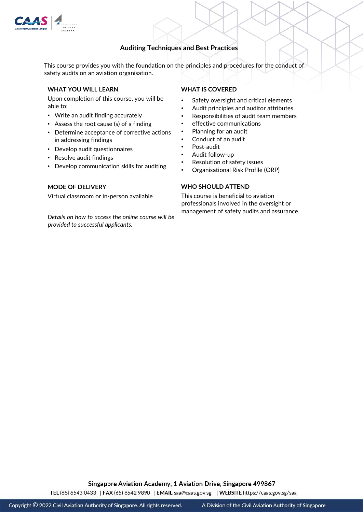

# **Auditing Techniques and Best Practices**

This course provides you with the foundation on the principles and procedures for the conduct of safety audits on an aviation organisation.

### **WHAT YOU WILL LEARN**

Upon completion of this course, you will be able to:

- Write an audit finding accurately
- Assess the root cause (s) of a finding
- Determine acceptance of corrective actions in addressing findings
- Develop audit questionnaires
- Resolve audit findings
- Develop communication skills for auditing

## **MODE OF DELIVERY**

Virtual classroom or in-person available

*Details on how to access the online course will be provided to successful applicants.* 

## **WHAT IS COVERED**

- Safety oversight and critical elements
- Audit principles and auditor attributes
- Responsibilities of audit team members
- effective communications
- Planning for an audit
- Conduct of an audit
- Post-audit
- Audit follow-up
- Resolution of safety issues
- Organisational Risk Profile (ORP)

## **WHO SHOULD ATTEND**

This course is beneficial to aviation professionals involved in the oversight or management of safety audits and assurance.

Singapore Aviation Academy, 1 Aviation Drive, Singapore 499867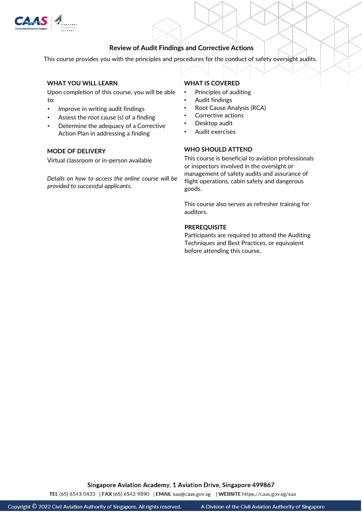

## **Review of Audit Findings and Corrective Actions**

This course provides you with the principles and procedures for the conduct of safety oversight audits.

## **WHAT YOU WILL LEARN**

Upon completion of this course, you will be able to:

- Improve in writing audit findings
- Assess the root cause (s) of a finding
- Determine the adequacy of a Corrective Action Plan in addressing a finding

## **MODE OF DELIVERY**

Virtual classroom or in-person available

*Details on how to access the online course will be provided to successful applicants.* 

# **WHAT IS COVERED**

- Principles of auditing
- Audit findings
- Root Cause Analysis (RCA)
- Corrective actions
- Desktop audit
- Audit exercises

## **WHO SHOULD ATTEND**

This course is beneficial to aviation professionals or inspectors involved in the oversight or management of safety audits and assurance of flight operations, cabin safety and dangerous goods.

This course also serves as refresher training for auditors.

### **PREREQUISITE**

Participants are required to attend the Auditing Techniques and Best Practices, or equivalent before attending this course.

Singapore Aviation Academy, 1 Aviation Drive, Singapore 499867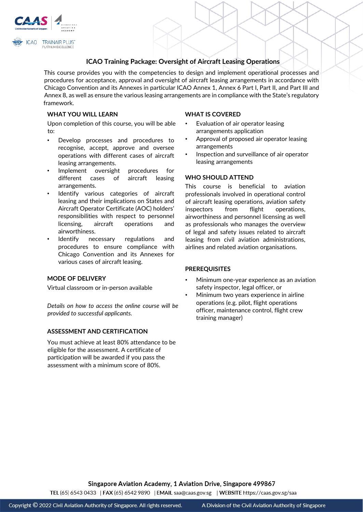

# **ICAO Training Package: Oversight of Aircraft Leasing Operations**

This course provides you with the competencies to design and implement operational processes and procedures for acceptance, approval and oversight of aircraft leasing arrangements in accordance with Chicago Convention and its Annexes in particular ICAO Annex 1, Annex 6 Part I, Part II, and Part III and Annex 8, as well as ensure the various leasing arrangements are in compliance with the State's regulatory framework.

## **WHAT YOU WILL LEARN**

Upon completion of this course, you will be able to:

- Develop processes and procedures to recognise, accept, approve and oversee operations with different cases of aircraft leasing arrangements.
- Implement oversight procedures for different cases of aircraft leasing arrangements.
- Identify various categories of aircraft leasing and their implications on States and Aircraft Operator Certificate (AOC) holders' responsibilities with respect to personnel licensing, aircraft operations and airworthiness.
- Identify necessary regulations and procedures to ensure compliance with Chicago Convention and its Annexes for various cases of aircraft leasing.

### **MODE OF DELIVERY**

Virtual classroom or in-person available

*Details on how to access the online course will be provided to successful applicants.* 

## **ASSESSMENT AND CERTIFICATION**

You must achieve at least 80% attendance to be eligible for the assessment. A certificate of participation will be awarded if you pass the assessment with a minimum score of 80%.

#### **WHAT IS COVERED**

- Evaluation of air operator leasing arrangements application
- Approval of proposed air operator leasing arrangements
- Inspection and surveillance of air operator leasing arrangements

### **WHO SHOULD ATTEND**

This course is beneficial to aviation professionals involved in operational control of aircraft leasing operations, aviation safety inspectors from flight operations, airworthiness and personnel licensing as well as professionals who manages the overview of legal and safety issues related to aircraft leasing from civil aviation administrations, airlines and related aviation organisations.

#### **PREREQUISITES**

- Minimum one-year experience as an aviation safety inspector, legal officer, or
- Minimum two years experience in airline operations (e.g. pilot, flight operations officer, maintenance control, flight crew training manager)

Singapore Aviation Academy, 1 Aviation Drive, Singapore 499867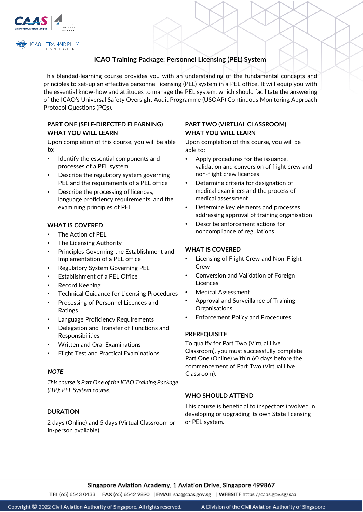

#### PLATINUM EXCELLENCE

# **ICAO Training Package: Personnel Licensing (PEL) System**

This blended-learning course provides you with an understanding of the fundamental concepts and principles to set-up an effective personnel licensing (PEL) system in a PEL office. It will equip you with the essential know-how and attitudes to manage the PEL system, which should facilitate the answering of the ICAO's Universal Safety Oversight Audit Programme (USOAP) Continuous Monitoring Approach Protocol Questions (PQs).

## **PART ONE (SELF-DIRECTED ELEARNING) WHAT YOU WILL LEARN**

Upon completion of this course, you will be able to:

- Identify the essential components and processes of a PEL system
- Describe the regulatory system governing PEL and the requirements of a PEL office
- Describe the processing of licences, language proficiency requirements, and the examining principles of PEL

## **WHAT IS COVERED**

- The Action of PEL
- The Licensing Authority
- Principles Governing the Establishment and Implementation of a PEL office
- Regulatory System Governing PEL
- Establishment of a PEL Office
- Record Keeping
- Technical Guidance for Licensing Procedures
- Processing of Personnel Licences and Ratings
- Language Proficiency Requirements
- Delegation and Transfer of Functions and Responsibilities
- Written and Oral Examinations
- Flight Test and Practical Examinations

## *NOTE*

*This course is Part One of the ICAO Training Package (ITP): PEL System course.* 

## **DURATION**

2 days (Online) and 5 days (Virtual Classroom or in-person available)

## **PART TWO (VIRTUAL CLASSROOM) WHAT YOU WILL LEARN**

Upon completion of this course, you will be able to:

- Apply procedures for the issuance, validation and conversion of flight crew and non-flight crew licences
- Determine criteria for designation of medical examiners and the process of medical assessment
- Determine key elements and processes addressing approval of training organisation
- Describe enforcement actions for noncompliance of regulations

### **WHAT IS COVERED**

- Licensing of Flight Crew and Non-Flight Crew
- Conversion and Validation of Foreign **Licences**
- Medical Assessment
- Approval and Surveillance of Training **Organisations**
- Enforcement Policy and Procedures

## **PREREQUISITE**

To qualify for Part Two (Virtual Live Classroom), you must successfully complete Part One (Online) within 60 days before the commencement of Part Two (Virtual Live Classroom).

## **WHO SHOULD ATTEND**

This course is beneficial to inspectors involved in developing or upgrading its own State licensing or PEL system.

Singapore Aviation Academy, 1 Aviation Drive, Singapore 499867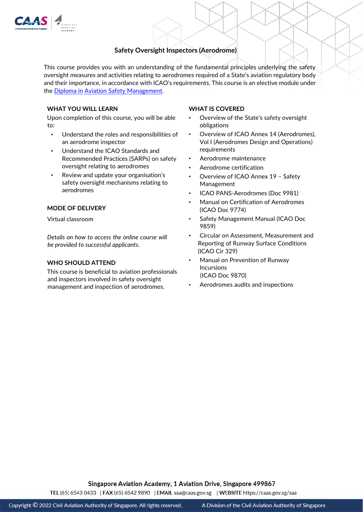

# **Safety Oversight Inspectors (Aerodrome)**

This course provides you with an understanding of the fundamental principles underlying the safety oversight measures and activities relating to aerodromes required of a State's aviation regulatory body and their importance, in accordance with ICAO's requirements. This course is an elective module under the [Diploma in](https://go.gov.sg/dipasm) [Aviation Safety Management.](https://go.gov.sg/dipasm) 

### **WHAT YOU WILL LEARN**

Upon completion of this course, you will be able to:

- Understand the roles and responsibilities of an aerodrome inspector
- Understand the ICAO Standards and Recommended Practices (SARPs) on safety oversight relating to aerodromes
- Review and update your organisation's safety oversight mechanisms relating to aerodromes

#### **MODE OF DELIVERY**

Virtual classroom

*Details on how to access the online course will be provided to successful applicants.* 

#### **WHO SHOULD ATTEND**

This course is beneficial to aviation professionals and inspectors involved in safety oversight management and inspection of aerodromes.

### **WHAT IS COVERED**

- Overview of the State's safety oversight obligations
- Overview of ICAO Annex 14 (Aerodromes), Vol I (Aerodromes Design and Operations) requirements
- Aerodrome maintenance
- Aerodrome certification
- Overview of ICAO Annex 19 Safety Management
- ICAO PANS-Aerodromes (Doc 9981)
- Manual on Certification of Aerodromes (ICAO Doc 9774)
- Safety Management Manual (ICAO Doc 9859)
- Circular on Assessment, Measurement and Reporting of Runway Surface Conditions (ICAO Cir 329)
- Manual on Prevention of Runway Incursions (ICAO Doc 9870)
- Aerodromes audits and inspections

Singapore Aviation Academy, 1 Aviation Drive, Singapore 499867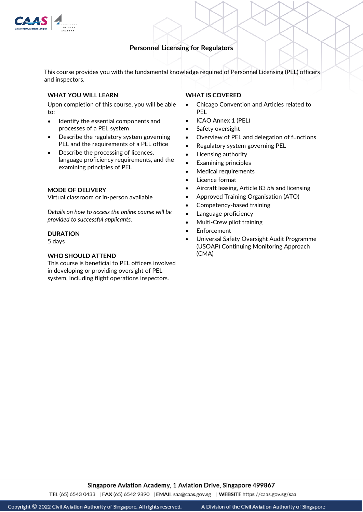

## **Personnel Licensing for Regulators**

This course provides you with the fundamental knowledge required of Personnel Licensing (PEL) officers and inspectors.

### **WHAT YOU WILL LEARN**

Upon completion of this course, you will be able to:

- Identify the essential components and processes of a PEL system
- Describe the regulatory system governing PEL and the requirements of a PEL office
- Describe the processing of licences, language proficiency requirements, and the examining principles of PEL

#### **MODE OF DELIVERY**

Virtual classroom or in-person available

*Details on how to access the online course will be provided to successful applicants.* 

#### **DURATION**

5 days

#### **WHO SHOULD ATTEND**

This course is beneficial to PEL officers involved in developing or providing oversight of PEL system, including flight operations inspectors.

## **WHAT IS COVERED**

- Chicago Convention and Articles related to PEL
- ICAO Annex 1 (PEL)
- Safety oversight
- Overview of PEL and delegation of functions
- Regulatory system governing PEL
- Licensing authority
- Examining principles
- Medical requirements
- Licence format
- Aircraft leasing, Article 83 *bis* and licensing
- Approved Training Organisation (ATO)
- Competency-based training
- Language proficiency
- Multi-Crew pilot training
- **Enforcement**
- Universal Safety Oversight Audit Programme (USOAP) Continuing Monitoring Approach (CMA)

Singapore Aviation Academy, 1 Aviation Drive, Singapore 499867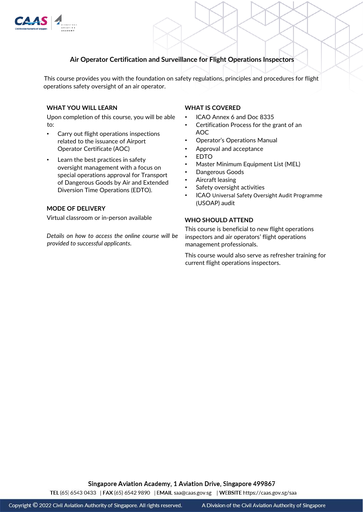

# **Air Operator Certification and Surveillance for Flight Operations Inspectors**

This course provides you with the foundation on safety regulations, principles and procedures for flight operations safety oversight of an air operator.

### **WHAT YOU WILL LEARN**

Upon completion of this course, you will be able to:

- Carry out flight operations inspections related to the issuance of Airport Operator Certificate (AOC)
- Learn the best practices in safety oversight management with a focus on special operations approval for Transport of Dangerous Goods by Air and Extended Diversion Time Operations (EDTO).

#### **MODE OF DELIVERY**

Virtual classroom or in-person available

*Details on how to access the online course will be provided to successful applicants.* 

#### **WHAT IS COVERED**

- ICAO Annex 6 and Doc 8335
- Certification Process for the grant of an AOC
- Operator's Operations Manual
- Approval and acceptance
- EDTO
- Master Minimum Equipment List (MEL)
- Dangerous Goods
- Aircraft leasing
- Safety oversight activities
- ICAO Universal Safety Oversight Audit Programme (USOAP) audit

#### **WHO SHOULD ATTEND**

This course is beneficial to new flight operations inspectors and air operators' flight operations management professionals.

This course would also serve as refresher training for current flight operations inspectors.

Singapore Aviation Academy, 1 Aviation Drive, Singapore 499867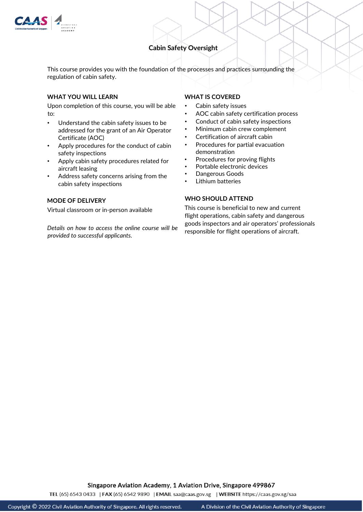

# **Cabin Safety Oversight**

This course provides you with the foundation of the processes and practices surrounding the regulation of cabin safety.

### **WHAT YOU WILL LEARN**

Upon completion of this course, you will be able to:

- Understand the cabin safety issues to be addressed for the grant of an Air Operator Certificate (AOC)
- Apply procedures for the conduct of cabin safety inspections
- Apply cabin safety procedures related for aircraft leasing
- Address safety concerns arising from the cabin safety inspections

## **MODE OF DELIVERY**

Virtual classroom or in-person available

*Details on how to access the online course will be provided to successful applicants.* 

#### **WHAT IS COVERED**

- Cabin safety issues
- AOC cabin safety certification process
- Conduct of cabin safety inspections
- Minimum cabin crew complement
- Certification of aircraft cabin
- Procedures for partial evacuation demonstration
- Procedures for proving flights
- Portable electronic devices
- Dangerous Goods
- Lithium batteries

## **WHO SHOULD ATTEND**

This course is beneficial to new and current flight operations, cabin safety and dangerous goods inspectors and air operators' professionals responsible for flight operations of aircraft.

Singapore Aviation Academy, 1 Aviation Drive, Singapore 499867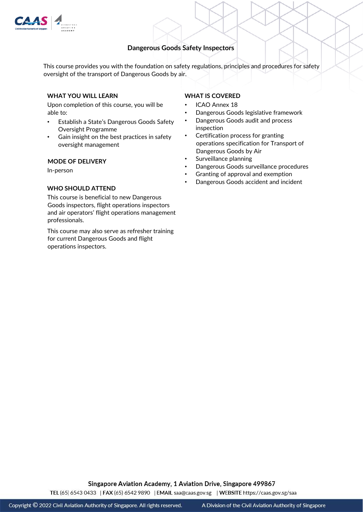

# **Dangerous Goods Safety Inspectors**

oversight of the transport of Dangerous Goods by air. This course provides you with the foundation on safety regulations, principles and procedures for safety

## **WHAT YOU WILL LEARN**

Upon completion of this course, you will be able to:

- Establish a State's Dangerous Goods Safety Oversight Programme
- Gain insight on the best practices in safety oversight management

#### **MODE OF DELIVERY**

In-person

### **WHO SHOULD ATTEND**

This course is beneficial to new Dangerous Goods inspectors, flight operations inspectors and air operators' flight operations management professionals.

This course may also serve as refresher training for current Dangerous Goods and flight operations inspectors.

## **WHAT IS COVERED**

- ICAO Annex 18
- Dangerous Goods legislative framework
- Dangerous Goods audit and process inspection
- Certification process for granting operations specification for Transport of Dangerous Goods by Air
- Surveillance planning
- Dangerous Goods surveillance procedures
- Granting of approval and exemption
- Dangerous Goods accident and incident

Singapore Aviation Academy, 1 Aviation Drive, Singapore 499867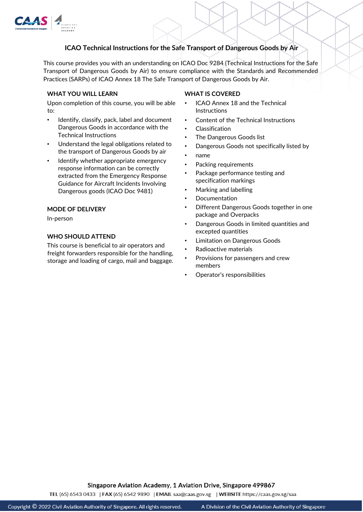

# **ICAO Technical Instructions for the Safe Transport of Dangerous Goods by Air**

This course provides you with an understanding on ICAO Doc 9284 (Technical Instructions for the Safe Transport of Dangerous Goods by Air) to ensure compliance with the Standards and Recommended Practices (SARPs) of ICAO Annex 18 The Safe Transport of Dangerous Goods by Air.

### **WHAT YOU WILL LEARN**

Upon completion of this course, you will be able to:

- Identify, classify, pack, label and document Dangerous Goods in accordance with the Technical Instructions
- Understand the legal obligations related to the transport of Dangerous Goods by air
- Identify whether appropriate emergency response information can be correctly extracted from the Emergency Response Guidance for Aircraft Incidents Involving Dangerous goods (ICAO Doc 9481)

### **MODE OF DELIVERY**

In-person

## **WHO SHOULD ATTEND**

This course is beneficial to air operators and freight forwarders responsible for the handling, storage and loading of cargo, mail and baggage.

#### **WHAT IS COVERED**

- ICAO Annex 18 and the Technical **Instructions**
- Content of the Technical Instructions
- Classification
- The Dangerous Goods list
- Dangerous Goods not specifically listed by
- name
- Packing requirements
- Package performance testing and specification markings
- Marking and labelling
- Documentation
- Different Dangerous Goods together in one package and Overpacks
- Dangerous Goods in limited quantities and excepted quantities
- Limitation on Dangerous Goods
- Radioactive materials
- Provisions for passengers and crew members
- Operator's responsibilities

Singapore Aviation Academy, 1 Aviation Drive, Singapore 499867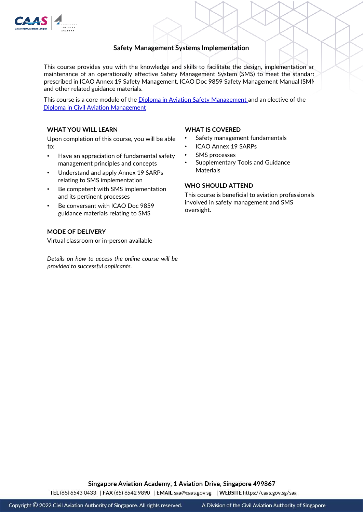

# **Safety Management Systems Implementation**

This course provides you with the knowledge and skills to facilitate the design, implementation ar maintenance of an operationally effective Safety Management System (SMS) to meet the standard prescribed in ICAO Annex 19 Safety Management, ICAO Doc 9859 Safety Management Manual (SMM) and other related guidance materials.

[Diploma in Civil Aviation Management](http://go.gov.sg/dipcam) This course is a core module of the [Diploma in Aviation Safety Management](http://go.gov.sg/dipasm) [a](http://go.gov.sg/dipasm)nd an elective of the

## **WHAT YOU WILL LEARN**

Upon completion of this course, you will be able to:

- Have an appreciation of fundamental safety management principles and concepts
- Understand and apply Annex 19 SARPs relating to SMS implementation
- Be competent with SMS implementation and its pertinent processes
- Be conversant with ICAO Doc 9859 guidance materials relating to SMS

### **MODE OF DELIVERY**

Virtual classroom or in-person available

*Details on how to access the online course will be provided to successful applicants.* 

#### **WHAT IS COVERED**

- Safety management fundamentals
- ICAO Annex 19 SARPs
- SMS processes
- Supplementary Tools and Guidance **Materials**

### **WHO SHOULD ATTEND**

This course is beneficial to aviation professionals involved in safety management and SMS oversight.

Singapore Aviation Academy, 1 Aviation Drive, Singapore 499867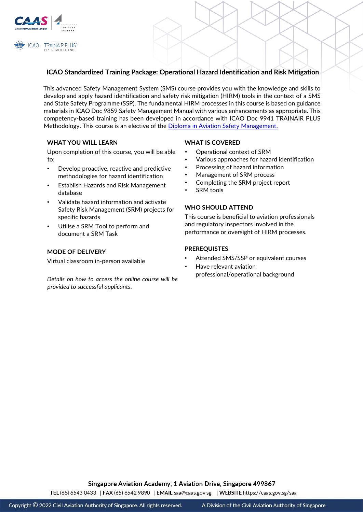

# **ICAO Standardized Training Package: Operational Hazard Identification and Risk Mitigation**

This advanced Safety Management System (SMS) course provides you with the knowledge and skills to develop and apply hazard identification and safety risk mitigation (HIRM) tools in the context of a SMS and State Safety Programme (SSP). The fundamental HIRM processes in this course is based on guidance materials in ICAO Doc 9859 Safety Management Manual with various enhancements as appropriate. This competency-based training has been developed in accordance with ICAO Doc 9941 TRAINAIR PLUS Methodology. This course is an elective of the [Diploma in Aviation Safety Management.](http://go.gov.sg/dipasm)

## **WHAT YOU WILL LEARN**

Upon completion of this course, you will be able to:

- Develop proactive, reactive and predictive methodologies for hazard identification
- Establish Hazards and Risk Management database
- Validate hazard information and activate Safety Risk Management (SRM) projects for specific hazards
- Utilise a SRM Tool to perform and document a SRM Task

## **MODE OF DELIVERY**

Virtual classroom in-person available

*Details on how to access the online course will be provided to successful applicants.* 

### **WHAT IS COVERED**

- Operational context of SRM
- Various approaches for hazard identification
- Processing of hazard information
- Management of SRM process
- Completing the SRM project report
- **SRM** tools

## **WHO SHOULD ATTEND**

This course is beneficial to aviation professionals and regulatory inspectors involved in the performance or oversight of HIRM processes.

### **PREREQUISTES**

- Attended SMS/SSP or equivalent courses
- Have relevant aviation professional/operational background

Singapore Aviation Academy, 1 Aviation Drive, Singapore 499867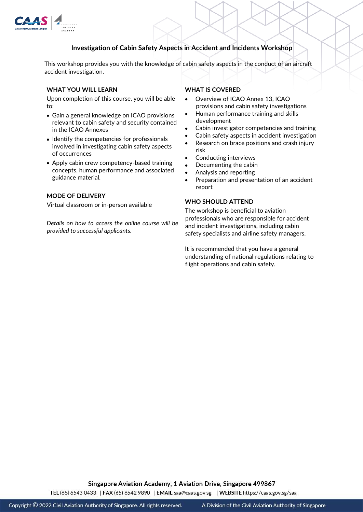

# **Investigation of Cabin Safety Aspects in Accident and Incidents Workshop**

This workshop provides you with the knowledge of cabin safety aspects in the conduct of an aircraft accident investigation.

### **WHAT YOU WILL LEARN**

Upon completion of this course, you will be able to:

- Gain a general knowledge on ICAO provisions relevant to cabin safety and security contained in the ICAO Annexes
- Identify the competencies for professionals involved in investigating cabin safety aspects of occurrences
- Apply cabin crew competency-based training concepts, human performance and associated guidance material.

## **MODE OF DELIVERY**

Virtual classroom or in-person available

*Details on how to access the online course will be provided to successful applicants.* 

## **WHAT IS COVERED**

- Overview of ICAO Annex 13, ICAO provisions and cabin safety investigations
- Human performance training and skills development
- Cabin investigator competencies and training
- Cabin safety aspects in accident investigation
- Research on brace positions and crash injury risk
- Conducting interviews
- Documenting the cabin
- Analysis and reporting
- Preparation and presentation of an accident report

#### **WHO SHOULD ATTEND**

The workshop is beneficial to aviation professionals who are responsible for accident and incident investigations, including cabin safety specialists and airline safety managers.

It is recommended that you have a general understanding of national regulations relating to flight operations and cabin safety.

Singapore Aviation Academy, 1 Aviation Drive, Singapore 499867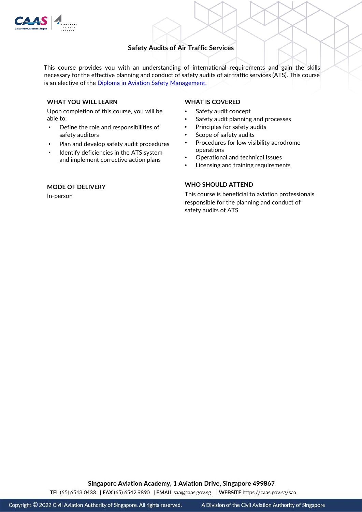

# **Safety Audits of Air Traffic Services**

This course provides you with an understanding of international requirements and gain the skills necessary for the effective planning and conduct of safety audits of air traffic services (ATS). This course is an elective of the [Diploma in Aviation Safety Management.](http://go.gov.sg/dipasm)

#### **WHAT YOU WILL LEARN**

Upon completion of this course, you will be able to:

- Define the role and responsibilities of safety auditors
- Plan and develop safety audit procedures
- Identify deficiencies in the ATS system and implement corrective action plans

## **MODE OF DELIVERY**

In-person

### **WHAT IS COVERED**

- Safety audit concept
- Safety audit planning and processes
- Principles for safety audits
- Scope of safety audits
- Procedures for low visibility aerodrome operations
- Operational and technical Issues
- Licensing and training requirements

## **WHO SHOULD ATTEND**

This course is beneficial to aviation professionals responsible for the planning and conduct of safety audits of ATS

Singapore Aviation Academy, 1 Aviation Drive, Singapore 499867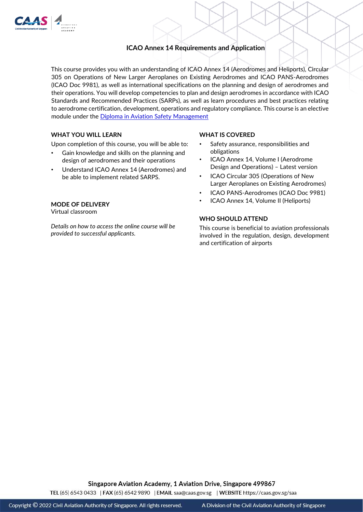

# **ICAO Annex 14 Requirements and Application**

This course provides you with an understanding of ICAO Annex 14 (Aerodromes and Heliports), Circular 305 on Operations of New Larger Aeroplanes on Existing Aerodromes and ICAO PANS-Aerodromes (ICAO Doc 9981), as well as international specifications on the planning and design of aerodromes and their operations. You will develop competencies to plan and design aerodromes in accordance with ICAO Standards and Recommended Practices (SARPs), as well as learn procedures and best practices relating to aerodrome certification, development, operations and regulatory compliance. This course is an elective module under the [Diploma in Aviation Safety Management](http://go.gov.sg/dipasm)

## **WHAT YOU WILL LEARN**

Upon completion of this course, you will be able to:

- Gain knowledge and skills on the planning and design of aerodromes and their operations
- Understand ICAO Annex 14 (Aerodromes) and be able to implement related SARPS.

# **MODE OF DELIVERY**

Virtual classroom

*Details on how to access the online course will be provided to successful applicants.* 

### **WHAT IS COVERED**

- Safety assurance, responsibilities and obligations
- ICAO Annex 14, Volume I (Aerodrome Design and Operations) – Latest version
- ICAO Circular 305 (Operations of New Larger Aeroplanes on Existing Aerodromes)
- ICAO PANS-Aerodromes (ICAO Doc 9981)
- ICAO Annex 14, Volume II (Heliports)

## **WHO SHOULD ATTEND**

This course is beneficial to aviation professionals involved in the regulation, design, development and certification of airports

Singapore Aviation Academy, 1 Aviation Drive, Singapore 499867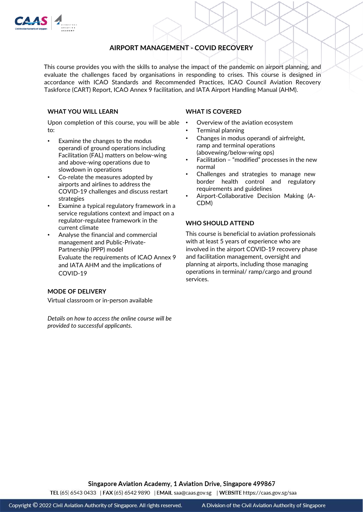

# **AIRPORT MANAGEMENT - COVID RECOVERY**

This course provides you with the skills to analyse the impact of the pandemic on airport planning, and evaluate the challenges faced by organisations in responding to crises. This course is designed in accordance with ICAO Standards and Recommended Practices, ICAO Council Aviation Recovery Taskforce (CART) Report, ICAO Annex 9 facilitation, and IATA Airport Handling Manual (AHM).

## **WHAT YOU WILL LEARN**

Upon completion of this course, you will be able • to:

- Examine the changes to the modus operandi of ground operations including Facilitation (FAL) matters on below-wing and above-wing operations due to slowdown in operations
- Co-relate the measures adopted by airports and airlines to address the COVID-19 challenges and discuss restart strategies
- Examine a typical regulatory framework in a service regulations context and impact on a regulator-regulatee framework in the current climate
- Analyse the financial and commercial management and Public-Private-Partnership (PPP) model Evaluate the requirements of ICAO Annex 9 and IATA AHM and the implications of COVID-19

## **MODE OF DELIVERY**

Virtual classroom or in-person available

*Details on how to access the online course will be provided to successful applicants.* 

### **WHAT IS COVERED**

- Overview of the aviation ecosystem
- Terminal planning
- Changes in modus operandi of airfreight, ramp and terminal operations (abovewing/below-wing ops)
- Facilitation "modified" processes in the new normal
- Challenges and strategies to manage new border health control and regulatory requirements and guidelines
- Airport-Collaborative Decision Making (A-CDM)

## **WHO SHOULD ATTEND**

This course is beneficial to aviation professionals with at least 5 years of experience who are involved in the airport COVID-19 recovery phase and facilitation management, oversight and planning at airports, including those managing operations in terminal/ ramp/cargo and ground services.

Singapore Aviation Academy, 1 Aviation Drive, Singapore 499867